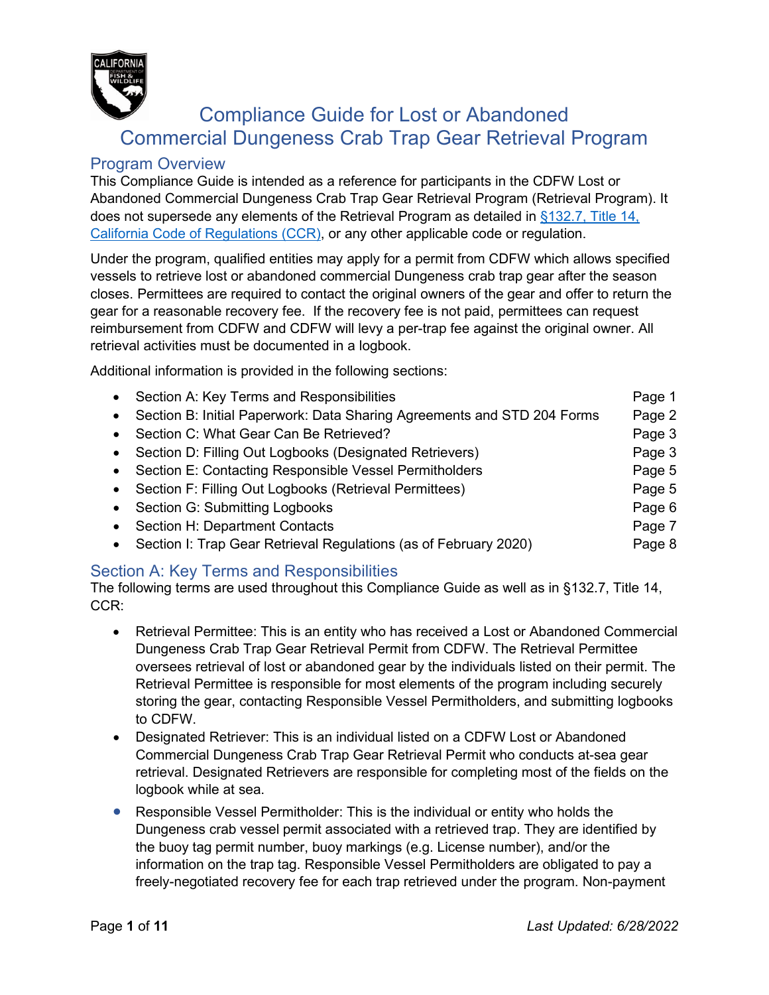

# Compliance Guide for Lost or Abandoned Commercial Dungeness Crab Trap Gear Retrieval Program

## Program Overview

This Compliance Guide is intended as a reference for participants in the CDFW Lost or Abandoned Commercial Dungeness Crab Trap Gear Retrieval Program (Retrieval Program). It does not supersede any elements of the Retrieval Program as detailed in [§132.7, Title 14,](https://govt.westlaw.com/calregs/Document/IC6340CBA3BA24F68A300165CBF2A1390?viewType=FullText&listSource=Search&originationContext=Search+Result&transitionType=SearchItem&contextData=(sc.Search)&navigationPath=Search%2fv1%2fresults%2fnavigation%2fi0ad720f1000001776ef897022bd86e1c%3fNav%3dREGULATION_PUBLICVIEW%26fragmentIdentifier%3dIC6340CBA3BA24F68A300165CBF2A1390%26startIndex%3d1%26transitionType%3dSearchItem%26contextData%3d%2528sc.Default%2529%26originationContext%3dSearch%2520Result&list=REGULATION_PUBLICVIEW&rank=2&t_tocnode=12&t_querytext=132.7)  [California Code of Regulations \(CCR\),](https://govt.westlaw.com/calregs/Document/IC6340CBA3BA24F68A300165CBF2A1390?viewType=FullText&listSource=Search&originationContext=Search+Result&transitionType=SearchItem&contextData=(sc.Search)&navigationPath=Search%2fv1%2fresults%2fnavigation%2fi0ad720f1000001776ef897022bd86e1c%3fNav%3dREGULATION_PUBLICVIEW%26fragmentIdentifier%3dIC6340CBA3BA24F68A300165CBF2A1390%26startIndex%3d1%26transitionType%3dSearchItem%26contextData%3d%2528sc.Default%2529%26originationContext%3dSearch%2520Result&list=REGULATION_PUBLICVIEW&rank=2&t_tocnode=12&t_querytext=132.7) or any other applicable code or regulation.

Under the program, qualified entities may apply for a permit from CDFW which allows specified vessels to retrieve lost or abandoned commercial Dungeness crab trap gear after the season closes. Permittees are required to contact the original owners of the gear and offer to return the gear for a reasonable recovery fee. If the recovery fee is not paid, permittees can request reimbursement from CDFW and CDFW will levy a per-trap fee against the original owner. All retrieval activities must be documented in a logbook.

Additional information is provided in the following sections:

|           | • Section A: Key Terms and Responsibilities                             | Page 1 |
|-----------|-------------------------------------------------------------------------|--------|
| $\bullet$ | Section B: Initial Paperwork: Data Sharing Agreements and STD 204 Forms | Page 2 |
| $\bullet$ | Section C: What Gear Can Be Retrieved?                                  | Page 3 |
|           | • Section D: Filling Out Logbooks (Designated Retrievers)               | Page 3 |
|           | • Section E: Contacting Responsible Vessel Permitholders                | Page 5 |
|           | • Section F: Filling Out Logbooks (Retrieval Permittees)                | Page 5 |
|           | • Section G: Submitting Logbooks                                        | Page 6 |
| $\bullet$ | Section H: Department Contacts                                          | Page 7 |
| $\bullet$ | Section I: Trap Gear Retrieval Regulations (as of February 2020)        | Page 8 |

## Section A: Key Terms and Responsibilities

The following terms are used throughout this Compliance Guide as well as in §132.7, Title 14, CCR:

- Retrieval Permittee: This is an entity who has received a Lost or Abandoned Commercial Dungeness Crab Trap Gear Retrieval Permit from CDFW. The Retrieval Permittee oversees retrieval of lost or abandoned gear by the individuals listed on their permit. The Retrieval Permittee is responsible for most elements of the program including securely storing the gear, contacting Responsible Vessel Permitholders, and submitting logbooks to CDFW.
- Designated Retriever: This is an individual listed on a CDFW Lost or Abandoned Commercial Dungeness Crab Trap Gear Retrieval Permit who conducts at-sea gear retrieval. Designated Retrievers are responsible for completing most of the fields on the logbook while at sea.
- Responsible Vessel Permitholder: This is the individual or entity who holds the Dungeness crab vessel permit associated with a retrieved trap. They are identified by the buoy tag permit number, buoy markings (e.g. License number), and/or the information on the trap tag. Responsible Vessel Permitholders are obligated to pay a freely-negotiated recovery fee for each trap retrieved under the program. Non-payment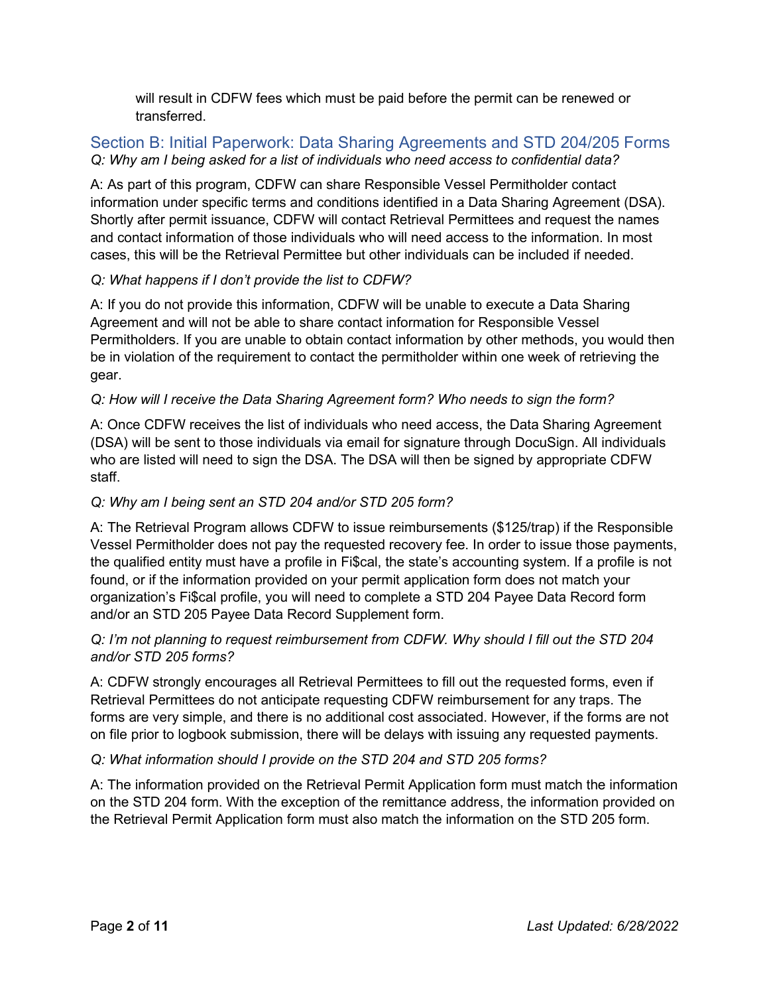will result in CDFW fees which must be paid before the permit can be renewed or transferred.

## Section B: Initial Paperwork: Data Sharing Agreements and STD 204/205 Forms *Q: Why am I being asked for a list of individuals who need access to confidential data?*

A: As part of this program, CDFW can share Responsible Vessel Permitholder contact information under specific terms and conditions identified in a Data Sharing Agreement (DSA). Shortly after permit issuance, CDFW will contact Retrieval Permittees and request the names and contact information of those individuals who will need access to the information. In most cases, this will be the Retrieval Permittee but other individuals can be included if needed.

## *Q: What happens if I don't provide the list to CDFW?*

A: If you do not provide this information, CDFW will be unable to execute a Data Sharing Agreement and will not be able to share contact information for Responsible Vessel Permitholders. If you are unable to obtain contact information by other methods, you would then be in violation of the requirement to contact the permitholder within one week of retrieving the gear.

## *Q: How will I receive the Data Sharing Agreement form? Who needs to sign the form?*

A: Once CDFW receives the list of individuals who need access, the Data Sharing Agreement (DSA) will be sent to those individuals via email for signature through DocuSign. All individuals who are listed will need to sign the DSA. The DSA will then be signed by appropriate CDFW staff.

## *Q: Why am I being sent an STD 204 and/or STD 205 form?*

A: The Retrieval Program allows CDFW to issue reimbursements (\$125/trap) if the Responsible Vessel Permitholder does not pay the requested recovery fee. In order to issue those payments, the qualified entity must have a profile in Fi\$cal, the state's accounting system. If a profile is not found, or if the information provided on your permit application form does not match your organization's Fi\$cal profile, you will need to complete a STD 204 Payee Data Record form and/or an STD 205 Payee Data Record Supplement form.

## *Q: I'm not planning to request reimbursement from CDFW. Why should I fill out the STD 204 and/or STD 205 forms?*

A: CDFW strongly encourages all Retrieval Permittees to fill out the requested forms, even if Retrieval Permittees do not anticipate requesting CDFW reimbursement for any traps. The forms are very simple, and there is no additional cost associated. However, if the forms are not on file prior to logbook submission, there will be delays with issuing any requested payments.

## *Q: What information should I provide on the STD 204 and STD 205 forms?*

A: The information provided on the Retrieval Permit Application form must match the information on the STD 204 form. With the exception of the remittance address, the information provided on the Retrieval Permit Application form must also match the information on the STD 205 form.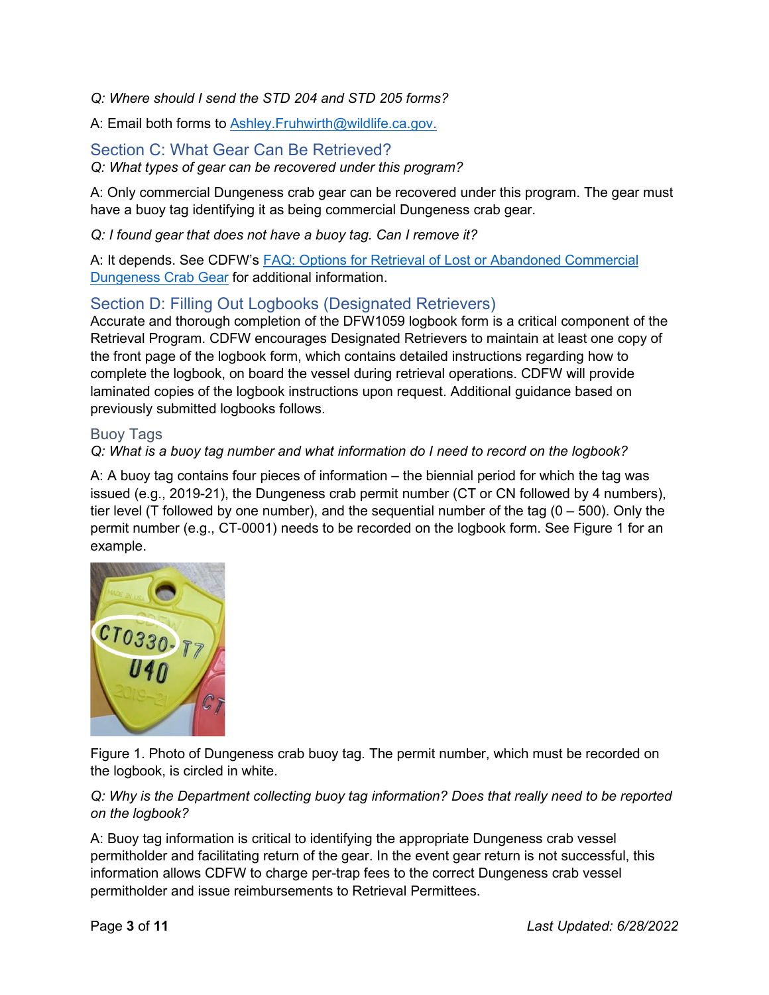*Q: Where should I send the STD 204 and STD 205 forms?*

A: Email both forms to Ashley. Fruhwirth@wildlife.ca.gov.

## Section C: What Gear Can Be Retrieved?

*Q: What types of gear can be recovered under this program?*

A: Only commercial Dungeness crab gear can be recovered under this program. The gear must have a buoy tag identifying it as being commercial Dungeness crab gear.

*Q: I found gear that does not have a buoy tag. Can I remove it?* 

A: It depends. See CDFW's [FAQ: Options for Retrieval of Lost or Abandoned Commercial](https://nrm.dfg.ca.gov/FileHandler.ashx?DocumentID=202545)  [Dungeness Crab Gear](https://nrm.dfg.ca.gov/FileHandler.ashx?DocumentID=202545) for additional information.

## Section D: Filling Out Logbooks (Designated Retrievers)

Accurate and thorough completion of the DFW1059 logbook form is a critical component of the Retrieval Program. CDFW encourages Designated Retrievers to maintain at least one copy of the front page of the logbook form, which contains detailed instructions regarding how to complete the logbook, on board the vessel during retrieval operations. CDFW will provide laminated copies of the logbook instructions upon request. Additional guidance based on previously submitted logbooks follows.

## Buoy Tags

## *Q: What is a buoy tag number and what information do I need to record on the logbook?*

A: A buoy tag contains four pieces of information – the biennial period for which the tag was issued (e.g., 2019-21), the Dungeness crab permit number (CT or CN followed by 4 numbers), tier level (T followed by one number), and the sequential number of the tag  $(0 - 500)$ . Only the permit number (e.g., CT-0001) needs to be recorded on the logbook form. See Figure 1 for an example.



Figure 1. Photo of Dungeness crab buoy tag. The permit number, which must be recorded on the logbook, is circled in white.

### *Q: Why is the Department collecting buoy tag information? Does that really need to be reported on the logbook?*

A: Buoy tag information is critical to identifying the appropriate Dungeness crab vessel permitholder and facilitating return of the gear. In the event gear return is not successful, this information allows CDFW to charge per-trap fees to the correct Dungeness crab vessel permitholder and issue reimbursements to Retrieval Permittees.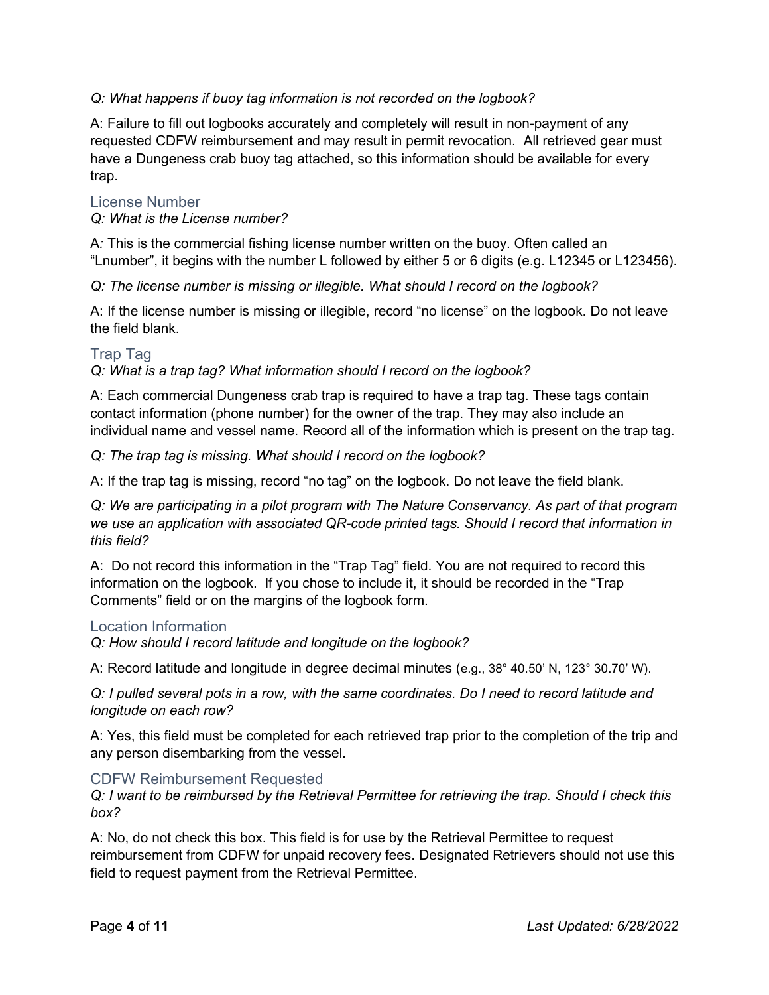### *Q: What happens if buoy tag information is not recorded on the logbook?*

A: Failure to fill out logbooks accurately and completely will result in non-payment of any requested CDFW reimbursement and may result in permit revocation. All retrieved gear must have a Dungeness crab buoy tag attached, so this information should be available for every trap.

#### License Number

#### *Q: What is the License number?*

A*:* This is the commercial fishing license number written on the buoy. Often called an "Lnumber", it begins with the number L followed by either 5 or 6 digits (e.g. L12345 or L123456).

*Q: The license number is missing or illegible. What should I record on the logbook?* 

A: If the license number is missing or illegible, record "no license" on the logbook. Do not leave the field blank.

#### Trap Tag

*Q: What is a trap tag? What information should I record on the logbook?*

A: Each commercial Dungeness crab trap is required to have a trap tag. These tags contain contact information (phone number) for the owner of the trap. They may also include an individual name and vessel name. Record all of the information which is present on the trap tag.

*Q: The trap tag is missing. What should I record on the logbook?*

A: If the trap tag is missing, record "no tag" on the logbook. Do not leave the field blank.

*Q: We are participating in a pilot program with The Nature Conservancy. As part of that program we use an application with associated QR-code printed tags. Should I record that information in this field?* 

A: Do not record this information in the "Trap Tag" field. You are not required to record this information on the logbook. If you chose to include it, it should be recorded in the "Trap Comments" field or on the margins of the logbook form.

#### Location Information

*Q: How should I record latitude and longitude on the logbook?*

A: Record latitude and longitude in degree decimal minutes (e.g., 38° 40.50' N, 123° 30.70' W).

*Q: I pulled several pots in a row, with the same coordinates. Do I need to record latitude and longitude on each row?*

A: Yes, this field must be completed for each retrieved trap prior to the completion of the trip and any person disembarking from the vessel.

#### CDFW Reimbursement Requested

*Q: I want to be reimbursed by the Retrieval Permittee for retrieving the trap. Should I check this box?*

A: No, do not check this box. This field is for use by the Retrieval Permittee to request reimbursement from CDFW for unpaid recovery fees. Designated Retrievers should not use this field to request payment from the Retrieval Permittee.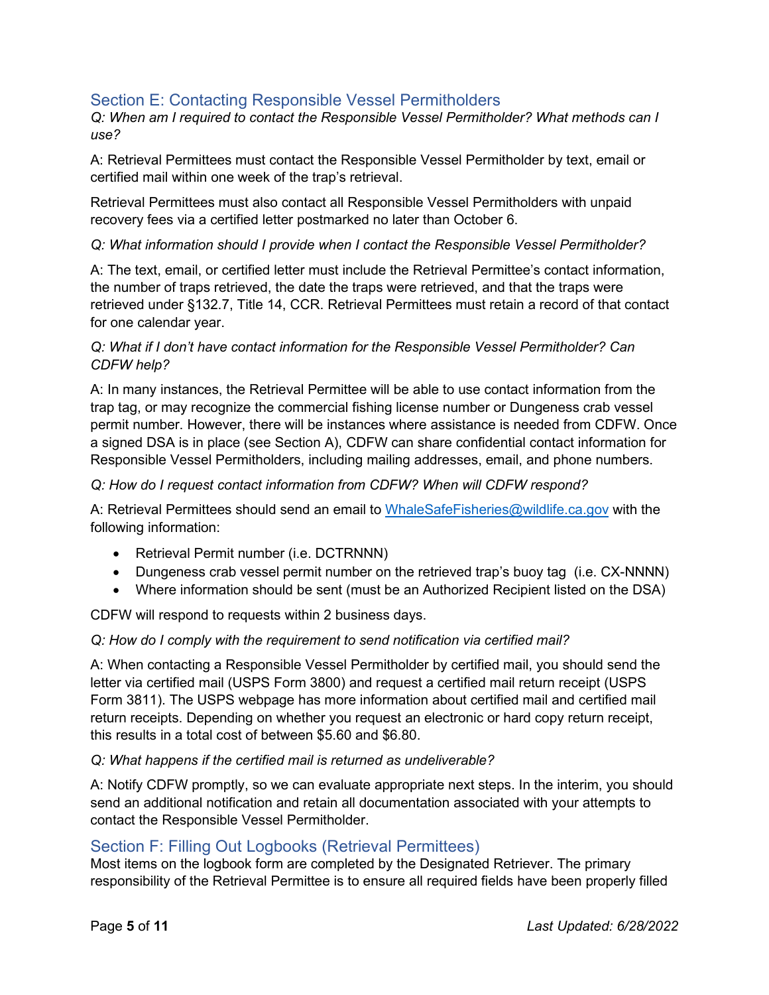## Section E: Contacting Responsible Vessel Permitholders

*Q: When am I required to contact the Responsible Vessel Permitholder? What methods can I use?*

A: Retrieval Permittees must contact the Responsible Vessel Permitholder by text, email or certified mail within one week of the trap's retrieval.

Retrieval Permittees must also contact all Responsible Vessel Permitholders with unpaid recovery fees via a certified letter postmarked no later than October 6.

### *Q: What information should I provide when I contact the Responsible Vessel Permitholder?*

A: The text, email, or certified letter must include the Retrieval Permittee's contact information, the number of traps retrieved, the date the traps were retrieved, and that the traps were retrieved under §132.7, Title 14, CCR. Retrieval Permittees must retain a record of that contact for one calendar year.

### *Q: What if I don't have contact information for the Responsible Vessel Permitholder? Can CDFW help?*

A: In many instances, the Retrieval Permittee will be able to use contact information from the trap tag, or may recognize the commercial fishing license number or Dungeness crab vessel permit number. However, there will be instances where assistance is needed from CDFW. Once a signed DSA is in place (see Section A), CDFW can share confidential contact information for Responsible Vessel Permitholders, including mailing addresses, email, and phone numbers.

#### *Q: How do I request contact information from CDFW? When will CDFW respond?*

A: Retrieval Permittees should send an email to [WhaleSafeFisheries@wildlife.ca.gov](mailto:WhaleSafeFisheries@wildlife.ca.gov) with the following information:

- Retrieval Permit number (i.e. DCTRNNN)
- Dungeness crab vessel permit number on the retrieved trap's buoy tag (i.e. CX-NNNN)
- Where information should be sent (must be an Authorized Recipient listed on the DSA)

CDFW will respond to requests within 2 business days.

#### *Q: How do I comply with the requirement to send notification via certified mail?*

A: When contacting a Responsible Vessel Permitholder by certified mail, you should send the letter via certified mail (USPS Form 3800) and request a certified mail return receipt (USPS Form 3811). The USPS webpage has more information about [certified mail](https://faq.usps.com/s/article/What-is-Certified-Mail) and [certified mail](https://faq.usps.com/s/article/Return-Receipt-The-Basics)  [return receipts.](https://faq.usps.com/s/article/Return-Receipt-The-Basics) Depending on whether you request an electronic or hard copy return receipt, this results in a total cost of between \$5.60 and \$6.80.

#### *Q: What happens if the certified mail is returned as undeliverable?*

A: Notify CDFW promptly, so we can evaluate appropriate next steps. In the interim, you should send an additional notification and retain all documentation associated with your attempts to contact the Responsible Vessel Permitholder.

## Section F: Filling Out Logbooks (Retrieval Permittees)

Most items on the logbook form are completed by the Designated Retriever. The primary responsibility of the Retrieval Permittee is to ensure all required fields have been properly filled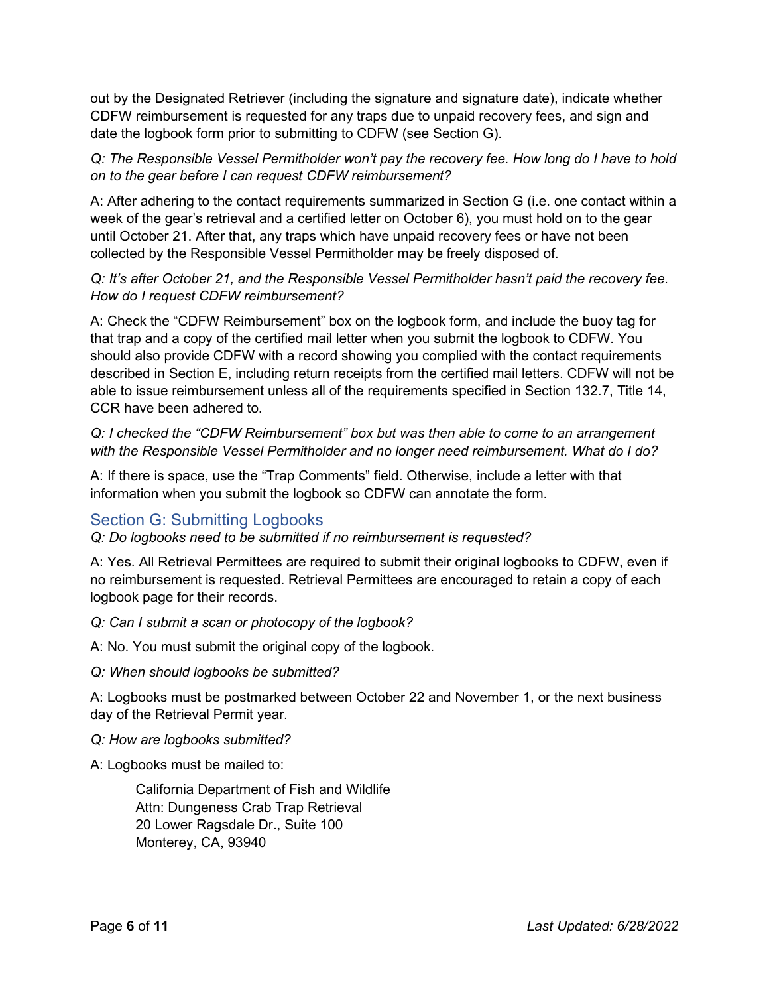out by the Designated Retriever (including the signature and signature date), indicate whether CDFW reimbursement is requested for any traps due to unpaid recovery fees, and sign and date the logbook form prior to submitting to CDFW (see Section G).

*Q: The Responsible Vessel Permitholder won't pay the recovery fee. How long do I have to hold on to the gear before I can request CDFW reimbursement?*

A: After adhering to the contact requirements summarized in Section G (i.e. one contact within a week of the gear's retrieval and a certified letter on October 6), you must hold on to the gear until October 21. After that, any traps which have unpaid recovery fees or have not been collected by the Responsible Vessel Permitholder may be freely disposed of.

#### *Q: It's after October 21, and the Responsible Vessel Permitholder hasn't paid the recovery fee. How do I request CDFW reimbursement?*

A: Check the "CDFW Reimbursement" box on the logbook form, and include the buoy tag for that trap and a copy of the certified mail letter when you submit the logbook to CDFW. You should also provide CDFW with a record showing you complied with the contact requirements described in Section E, including return receipts from the certified mail letters. CDFW will not be able to issue reimbursement unless all of the requirements specified in Section 132.7, Title 14, CCR have been adhered to.

*Q: I checked the "CDFW Reimbursement" box but was then able to come to an arrangement with the Responsible Vessel Permitholder and no longer need reimbursement. What do I do?*

A: If there is space, use the "Trap Comments" field. Otherwise, include a letter with that information when you submit the logbook so CDFW can annotate the form.

## Section G: Submitting Logbooks

*Q: Do logbooks need to be submitted if no reimbursement is requested?*

A: Yes. All Retrieval Permittees are required to submit their original logbooks to CDFW, even if no reimbursement is requested. Retrieval Permittees are encouraged to retain a copy of each logbook page for their records.

*Q: Can I submit a scan or photocopy of the logbook?*

A: No. You must submit the original copy of the logbook.

*Q: When should logbooks be submitted?*

A: Logbooks must be postmarked between October 22 and November 1, or the next business day of the Retrieval Permit year.

#### *Q: How are logbooks submitted?*

A: Logbooks must be mailed to:

California Department of Fish and Wildlife Attn: Dungeness Crab Trap Retrieval 20 Lower Ragsdale Dr., Suite 100 Monterey, CA, 93940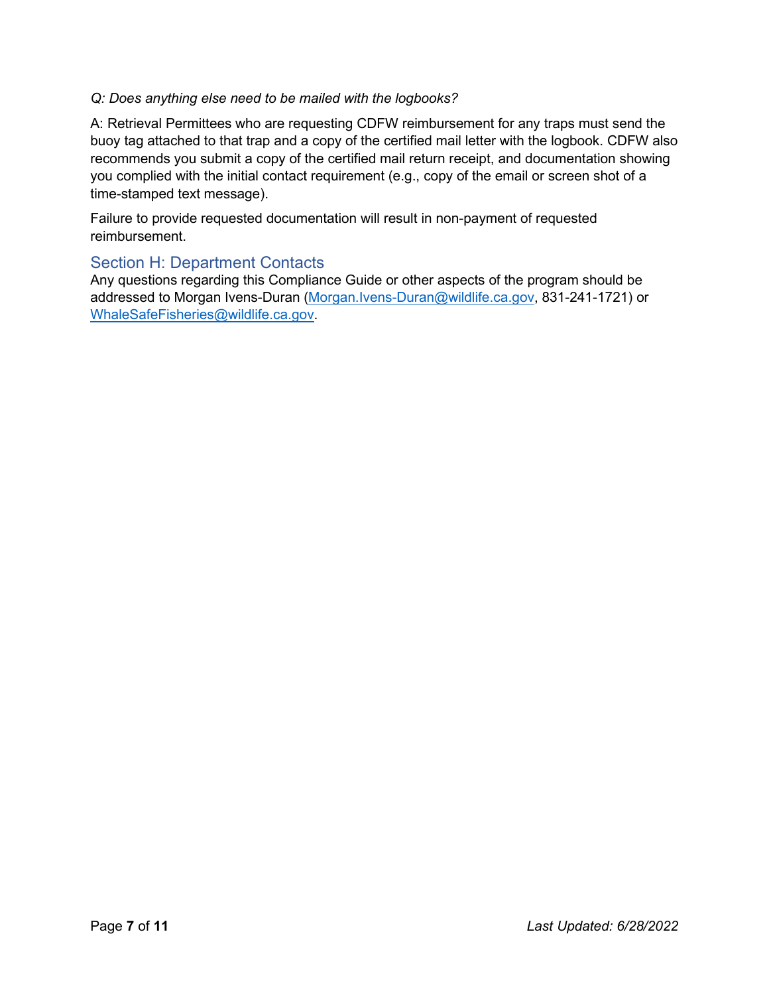### *Q: Does anything else need to be mailed with the logbooks?*

A: Retrieval Permittees who are requesting CDFW reimbursement for any traps must send the buoy tag attached to that trap and a copy of the certified mail letter with the logbook. CDFW also recommends you submit a copy of the certified mail return receipt, and documentation showing you complied with the initial contact requirement (e.g., copy of the email or screen shot of a time-stamped text message).

Failure to provide requested documentation will result in non-payment of requested reimbursement.

## Section H: Department Contacts

Any questions regarding this Compliance Guide or other aspects of the program should be addressed to Morgan Ivens-Duran [\(Morgan.Ivens-Duran@wildlife.ca.gov,](mailto:Morgan.Ivens-Duran@wildlife.ca.gov) 831-241-1721) or [WhaleSafeFisheries@wildlife.ca.gov.](mailto:WhaleSafeFisheries@wildlife.ca.gov)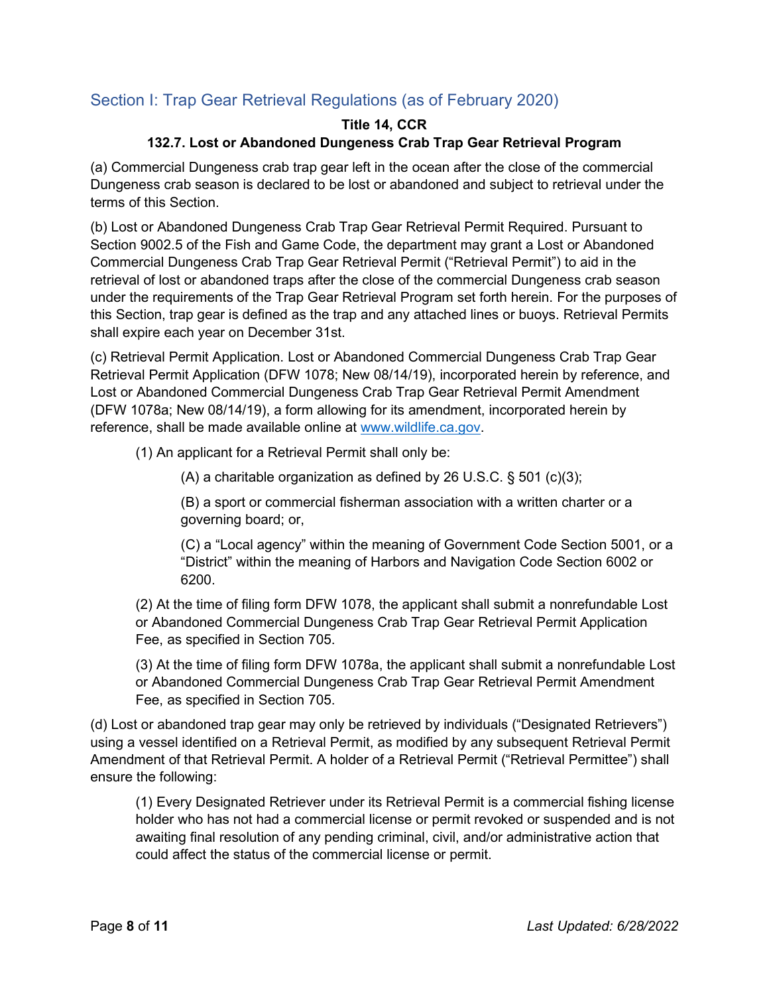## Section I: Trap Gear Retrieval Regulations (as of February 2020)

## **Title 14, CCR 132.7. Lost or Abandoned Dungeness Crab Trap Gear Retrieval Program**

(a) Commercial Dungeness crab trap gear left in the ocean after the close of the commercial Dungeness crab season is declared to be lost or abandoned and subject to retrieval under the terms of this Section.

(b) Lost or Abandoned Dungeness Crab Trap Gear Retrieval Permit Required. Pursuant to Section 9002.5 of the Fish and Game Code, the department may grant a Lost or Abandoned Commercial Dungeness Crab Trap Gear Retrieval Permit ("Retrieval Permit") to aid in the retrieval of lost or abandoned traps after the close of the commercial Dungeness crab season under the requirements of the Trap Gear Retrieval Program set forth herein. For the purposes of this Section, trap gear is defined as the trap and any attached lines or buoys. Retrieval Permits shall expire each year on December 31st.

(c) Retrieval Permit Application. Lost or Abandoned Commercial Dungeness Crab Trap Gear Retrieval Permit Application (DFW 1078; New 08/14/19), incorporated herein by reference, and Lost or Abandoned Commercial Dungeness Crab Trap Gear Retrieval Permit Amendment (DFW 1078a; New 08/14/19), a form allowing for its amendment, incorporated herein by reference, shall be made available online at [www.wildlife.ca.gov.](http://www.wildlife.ca.gov/)

(1) An applicant for a Retrieval Permit shall only be:

(A) a charitable organization as defined by 26 U.S.C. § 501 (c)(3);

(B) a sport or commercial fisherman association with a written charter or a governing board; or,

(C) a "Local agency" within the meaning of Government Code Section 5001, or a "District" within the meaning of Harbors and Navigation Code Section 6002 or 6200.

(2) At the time of filing form DFW 1078, the applicant shall submit a nonrefundable Lost or Abandoned Commercial Dungeness Crab Trap Gear Retrieval Permit Application Fee, as specified in Section 705.

(3) At the time of filing form DFW 1078a, the applicant shall submit a nonrefundable Lost or Abandoned Commercial Dungeness Crab Trap Gear Retrieval Permit Amendment Fee, as specified in Section 705.

(d) Lost or abandoned trap gear may only be retrieved by individuals ("Designated Retrievers") using a vessel identified on a Retrieval Permit, as modified by any subsequent Retrieval Permit Amendment of that Retrieval Permit. A holder of a Retrieval Permit ("Retrieval Permittee") shall ensure the following:

(1) Every Designated Retriever under its Retrieval Permit is a commercial fishing license holder who has not had a commercial license or permit revoked or suspended and is not awaiting final resolution of any pending criminal, civil, and/or administrative action that could affect the status of the commercial license or permit.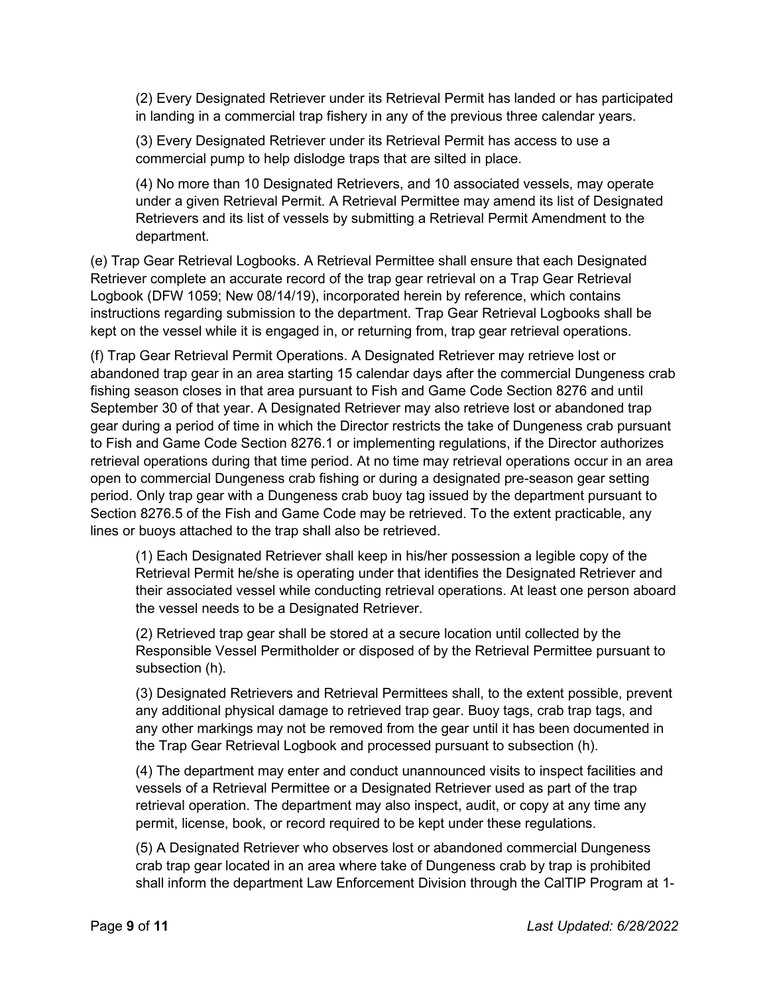(2) Every Designated Retriever under its Retrieval Permit has landed or has participated in landing in a commercial trap fishery in any of the previous three calendar years.

(3) Every Designated Retriever under its Retrieval Permit has access to use a commercial pump to help dislodge traps that are silted in place.

(4) No more than 10 Designated Retrievers, and 10 associated vessels, may operate under a given Retrieval Permit. A Retrieval Permittee may amend its list of Designated Retrievers and its list of vessels by submitting a Retrieval Permit Amendment to the department.

(e) Trap Gear Retrieval Logbooks. A Retrieval Permittee shall ensure that each Designated Retriever complete an accurate record of the trap gear retrieval on a Trap Gear Retrieval Logbook (DFW 1059; New 08/14/19), incorporated herein by reference, which contains instructions regarding submission to the department. Trap Gear Retrieval Logbooks shall be kept on the vessel while it is engaged in, or returning from, trap gear retrieval operations.

(f) Trap Gear Retrieval Permit Operations. A Designated Retriever may retrieve lost or abandoned trap gear in an area starting 15 calendar days after the commercial Dungeness crab fishing season closes in that area pursuant to Fish and Game Code Section 8276 and until September 30 of that year. A Designated Retriever may also retrieve lost or abandoned trap gear during a period of time in which the Director restricts the take of Dungeness crab pursuant to Fish and Game Code Section 8276.1 or implementing regulations, if the Director authorizes retrieval operations during that time period. At no time may retrieval operations occur in an area open to commercial Dungeness crab fishing or during a designated pre-season gear setting period. Only trap gear with a Dungeness crab buoy tag issued by the department pursuant to Section 8276.5 of the Fish and Game Code may be retrieved. To the extent practicable, any lines or buoys attached to the trap shall also be retrieved.

(1) Each Designated Retriever shall keep in his/her possession a legible copy of the Retrieval Permit he/she is operating under that identifies the Designated Retriever and their associated vessel while conducting retrieval operations. At least one person aboard the vessel needs to be a Designated Retriever.

(2) Retrieved trap gear shall be stored at a secure location until collected by the Responsible Vessel Permitholder or disposed of by the Retrieval Permittee pursuant to subsection (h).

(3) Designated Retrievers and Retrieval Permittees shall, to the extent possible, prevent any additional physical damage to retrieved trap gear. Buoy tags, crab trap tags, and any other markings may not be removed from the gear until it has been documented in the Trap Gear Retrieval Logbook and processed pursuant to subsection (h).

(4) The department may enter and conduct unannounced visits to inspect facilities and vessels of a Retrieval Permittee or a Designated Retriever used as part of the trap retrieval operation. The department may also inspect, audit, or copy at any time any permit, license, book, or record required to be kept under these regulations.

(5) A Designated Retriever who observes lost or abandoned commercial Dungeness crab trap gear located in an area where take of Dungeness crab by trap is prohibited shall inform the department Law Enforcement Division through the CalTIP Program at 1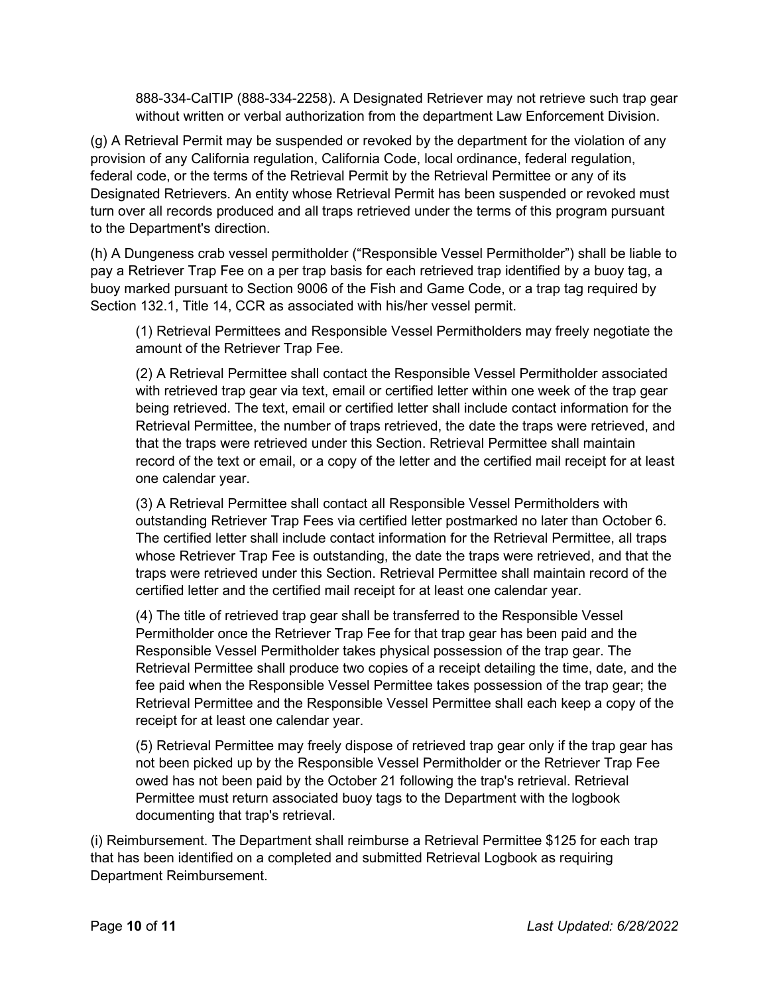888-334-CalTIP (888-334-2258). A Designated Retriever may not retrieve such trap gear without written or verbal authorization from the department Law Enforcement Division.

(g) A Retrieval Permit may be suspended or revoked by the department for the violation of any provision of any California regulation, California Code, local ordinance, federal regulation, federal code, or the terms of the Retrieval Permit by the Retrieval Permittee or any of its Designated Retrievers. An entity whose Retrieval Permit has been suspended or revoked must turn over all records produced and all traps retrieved under the terms of this program pursuant to the Department's direction.

(h) A Dungeness crab vessel permitholder ("Responsible Vessel Permitholder") shall be liable to pay a Retriever Trap Fee on a per trap basis for each retrieved trap identified by a buoy tag, a buoy marked pursuant to Section 9006 of the Fish and Game Code, or a trap tag required by Section 132.1, Title 14, CCR as associated with his/her vessel permit.

(1) Retrieval Permittees and Responsible Vessel Permitholders may freely negotiate the amount of the Retriever Trap Fee.

(2) A Retrieval Permittee shall contact the Responsible Vessel Permitholder associated with retrieved trap gear via text, email or certified letter within one week of the trap gear being retrieved. The text, email or certified letter shall include contact information for the Retrieval Permittee, the number of traps retrieved, the date the traps were retrieved, and that the traps were retrieved under this Section. Retrieval Permittee shall maintain record of the text or email, or a copy of the letter and the certified mail receipt for at least one calendar year.

(3) A Retrieval Permittee shall contact all Responsible Vessel Permitholders with outstanding Retriever Trap Fees via certified letter postmarked no later than October 6. The certified letter shall include contact information for the Retrieval Permittee, all traps whose Retriever Trap Fee is outstanding, the date the traps were retrieved, and that the traps were retrieved under this Section. Retrieval Permittee shall maintain record of the certified letter and the certified mail receipt for at least one calendar year.

(4) The title of retrieved trap gear shall be transferred to the Responsible Vessel Permitholder once the Retriever Trap Fee for that trap gear has been paid and the Responsible Vessel Permitholder takes physical possession of the trap gear. The Retrieval Permittee shall produce two copies of a receipt detailing the time, date, and the fee paid when the Responsible Vessel Permittee takes possession of the trap gear; the Retrieval Permittee and the Responsible Vessel Permittee shall each keep a copy of the receipt for at least one calendar year.

(5) Retrieval Permittee may freely dispose of retrieved trap gear only if the trap gear has not been picked up by the Responsible Vessel Permitholder or the Retriever Trap Fee owed has not been paid by the October 21 following the trap's retrieval. Retrieval Permittee must return associated buoy tags to the Department with the logbook documenting that trap's retrieval.

(i) Reimbursement. The Department shall reimburse a Retrieval Permittee \$125 for each trap that has been identified on a completed and submitted Retrieval Logbook as requiring Department Reimbursement.